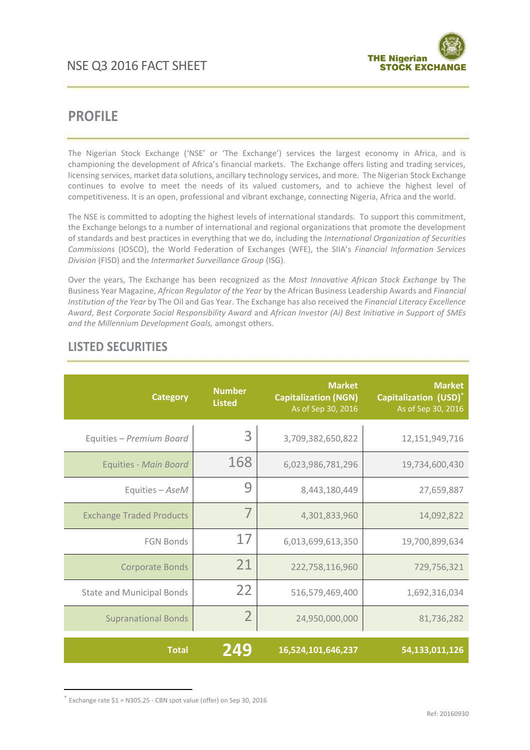

# **PROFILE**

The Nigerian Stock Exchange ('NSE' or 'The Exchange') services the largest economy in Africa, and is championing the development of Africa's financial markets. The Exchange offers listing and trading services, licensing services, market data solutions, ancillary technology services, and more. The Nigerian Stock Exchange continues to evolve to meet the needs of its valued customers, and to achieve the highest level of competitiveness. It is an open, professional and vibrant exchange, connecting Nigeria, Africa and the world.

The NSE is committed to adopting the highest levels of international standards. To support this commitment, the Exchange belongs to a number of international and regional organizations that promote the development of standards and best practices in everything that we do, including the *International Organization of Securities Commissions* (IOSCO), the World Federation of Exchanges (WFE), the SIIA's *Financial Information Services Division* (FISD) and the *Intermarket Surveillance Group* (ISG).

Over the years, The Exchange has been recognized as the *Most Innovative African Stock Exchange* by The Business Year Magazine, *African Regulator of the Year* by the African Business Leadership Awards and *Financial Institution of the Year* by The Oil and Gas Year. The Exchange has also received the *Financial Literacy Excellence Award*, *Best Corporate Social Responsibility Award* and *African Investor (Ai) Best Initiative in Support of SMEs and the Millennium Development Goals,* amongst others.

| <b>Category</b>                  | <b>Number</b><br><b>Listed</b> | <b>Market</b><br><b>Capitalization (NGN)</b><br>As of Sep 30, 2016 | <b>Market</b><br><b>Capitalization (USD)*</b><br>As of Sep 30, 2016 |
|----------------------------------|--------------------------------|--------------------------------------------------------------------|---------------------------------------------------------------------|
| Equities - Premium Board         | 3                              | 3,709,382,650,822                                                  | 12,151,949,716                                                      |
| <b>Equities - Main Board</b>     | 168                            | 6,023,986,781,296                                                  | 19,734,600,430                                                      |
| Equities - AseM                  | 9                              | 8,443,180,449                                                      | 27,659,887                                                          |
| <b>Exchange Traded Products</b>  | 7                              | 4,301,833,960                                                      | 14,092,822                                                          |
| <b>FGN Bonds</b>                 | 17                             | 6,013,699,613,350                                                  | 19,700,899,634                                                      |
| <b>Corporate Bonds</b>           | 21                             | 222,758,116,960                                                    | 729,756,321                                                         |
| <b>State and Municipal Bonds</b> | 22                             | 516,579,469,400                                                    | 1,692,316,034                                                       |
| <b>Supranational Bonds</b>       | $\overline{2}$                 | 24,950,000,000                                                     | 81,736,282                                                          |
| <b>Total</b>                     | 249                            | 16,524,101,646,237                                                 | 54,133,011,126                                                      |

## **LISTED SECURITIES**

\* Exchange rate \$1 = N305.25 - CBN spot value (offer) on Sep 30, 2016

**.**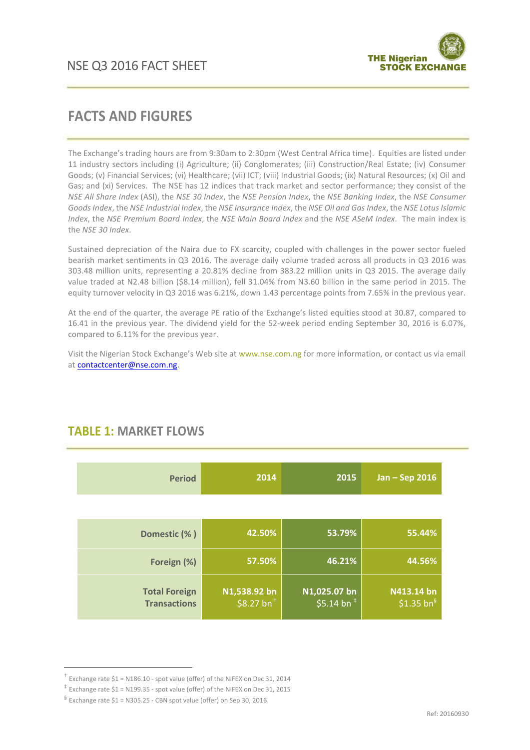

## **FACTS AND FIGURES**

The Exchange's trading hours are from 9:30am to 2:30pm (West Central Africa time). Equities are listed under 11 industry sectors including (i) Agriculture; (ii) Conglomerates; (iii) Construction/Real Estate; (iv) Consumer Goods; (v) Financial Services; (vi) Healthcare; (vii) ICT; (viii) Industrial Goods; (ix) Natural Resources; (x) Oil and Gas; and (xi) Services. The NSE has 12 indices that track market and sector performance; they consist of the *NSE All Share Index* (ASI), the *NSE 30 Index*, the *NSE Pension Index*, the *NSE Banking Index*, the *NSE Consumer Goods Index*, the *NSE Industrial Index*, the *NSE Insurance Index*, the *NSE Oil and Gas Index*, the *NSE Lotus Islamic Index*, the *NSE Premium Board Index*, the *NSE Main Board Index* and the *NSE ASeM Index*. The main index is the *NSE 30 Index*.

Sustained depreciation of the Naira due to FX scarcity, coupled with challenges in the power sector fueled bearish market sentiments in Q3 2016. The average daily volume traded across all products in Q3 2016 was 303.48 million units, representing a 20.81% decline from 383.22 million units in Q3 2015. The average daily value traded at N2.48 billion (\$8.14 million), fell 31.04% from N3.60 billion in the same period in 2015. The equity turnover velocity in Q3 2016 was 6.21%, down 1.43 percentage points from 7.65% in the previous year.

At the end of the quarter, the average PE ratio of the Exchange's listed equities stood at 30.87, compared to 16.41 in the previous year. The dividend yield for the 52-week period ending September 30, 2016 is 6.07%, compared to 6.11% for the previous year.

Visit the Nigerian Stock Exchange's Web site at www.nse.com.ng for more information, or contact us via email at [contactcenter@nse.com.ng.](mailto:contactcenter@nse.com.ng)

| <b>Period</b>                               | 2014                                   | 2015                                                   | Jan - Sep 2016                 |
|---------------------------------------------|----------------------------------------|--------------------------------------------------------|--------------------------------|
|                                             |                                        |                                                        |                                |
| Domestic (%)                                | 42.50%                                 | 53.79%                                                 | 55.44%                         |
| Foreign (%)                                 | 57.50%                                 | 46.21%                                                 | 44.56%                         |
| <b>Total Foreign</b><br><b>Transactions</b> | N1,538.92 bn<br>\$8.27 bn <sup>+</sup> | N <sub>1,025</sub> .07 <sub>_bn</sub><br>\$5.14 bn $*$ | N413.14 bn<br>\$1.35 $bn^{\S}$ |

## **TABLE 1: MARKET FLOWS**

1

<sup>†</sup> Exchange rate \$1 = N186.10 - spot value (offer) of the NIFEX on Dec 31, 2014

<sup>‡</sup> Exchange rate \$1 = N199.35 - spot value (offer) of the NIFEX on Dec 31, 2015

 $\frac{6}{5}$  Exchange rate \$1 = N305.25 - CBN spot value (offer) on Sep 30, 2016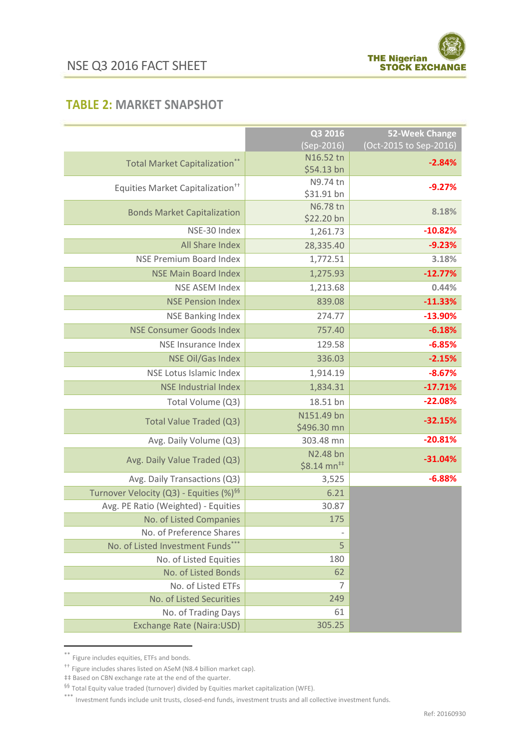

#### **TABLE 2: MARKET SNAPSHOT**

|                                                     | Q3 2016                              | 52-Week Change         |
|-----------------------------------------------------|--------------------------------------|------------------------|
|                                                     | (Sep-2016)                           | (Oct-2015 to Sep-2016) |
| <b>Total Market Capitalization**</b>                | N16.52 tn                            | $-2.84%$               |
|                                                     | \$54.13 bn                           |                        |
| Equities Market Capitalization <sup>++</sup>        | N9.74 tn                             | $-9.27%$               |
|                                                     | \$31.91 bn<br>N6.78 tn               |                        |
| <b>Bonds Market Capitalization</b>                  | \$22.20 bn                           | 8.18%                  |
| NSE-30 Index                                        | 1,261.73                             | $-10.82%$              |
| All Share Index                                     | 28,335.40                            | $-9.23%$               |
| <b>NSE Premium Board Index</b>                      | 1,772.51                             | 3.18%                  |
| <b>NSE Main Board Index</b>                         | 1,275.93                             | $-12.77%$              |
| <b>NSE ASEM Index</b>                               | 1,213.68                             | 0.44%                  |
| <b>NSE Pension Index</b>                            | 839.08                               | $-11.33%$              |
| <b>NSE Banking Index</b>                            | 274.77                               | $-13.90%$              |
| <b>NSE Consumer Goods Index</b>                     | 757.40                               | $-6.18%$               |
| NSE Insurance Index                                 | 129.58                               | $-6.85%$               |
| <b>NSE Oil/Gas Index</b>                            | 336.03                               | $-2.15%$               |
| NSE Lotus Islamic Index                             | 1,914.19                             | $-8.67%$               |
| <b>NSE Industrial Index</b>                         | 1,834.31                             | $-17.71%$              |
| Total Volume (Q3)                                   | 18.51 bn                             | $-22.08%$              |
|                                                     | N151.49 bn                           | $-32.15%$              |
| Total Value Traded (Q3)                             | \$496.30 mn                          |                        |
| Avg. Daily Volume (Q3)                              | 303.48 mn                            | $-20.81%$              |
| Avg. Daily Value Traded (Q3)                        | N2.48 bn<br>$$8.14$ mn <sup>##</sup> | $-31.04%$              |
| Avg. Daily Transactions (Q3)                        | 3,525                                | $-6.88%$               |
| Turnover Velocity (Q3) - Equities (%) <sup>§§</sup> | 6.21                                 |                        |
| Avg. PE Ratio (Weighted) - Equities                 | 30.87                                |                        |
| No. of Listed Companies                             | 175                                  |                        |
| No. of Preference Shares                            |                                      |                        |
| No. of Listed Investment Funds***                   | 5                                    |                        |
| No. of Listed Equities                              | 180                                  |                        |
| No. of Listed Bonds                                 | 62                                   |                        |
| No. of Listed ETFs                                  | 7                                    |                        |
| No. of Listed Securities                            | 249                                  |                        |
| No. of Trading Days                                 | 61                                   |                        |
| <b>Exchange Rate (Naira:USD)</b>                    | 305.25                               |                        |

<sup>\*\*</sup> Figure includes equities, ETFs and bonds.

1

<sup>††</sup> Figure includes shares listed on ASeM (N8.4 billion market cap).

<sup>‡‡</sup> Based on CBN exchange rate at the end of the quarter.

<sup>§§</sup> Total Equity value traded (turnover) divided by Equities market capitalization (WFE).

<sup>\*\*\*</sup> Investment funds include unit trusts, closed-end funds, investment trusts and all collective investment funds.